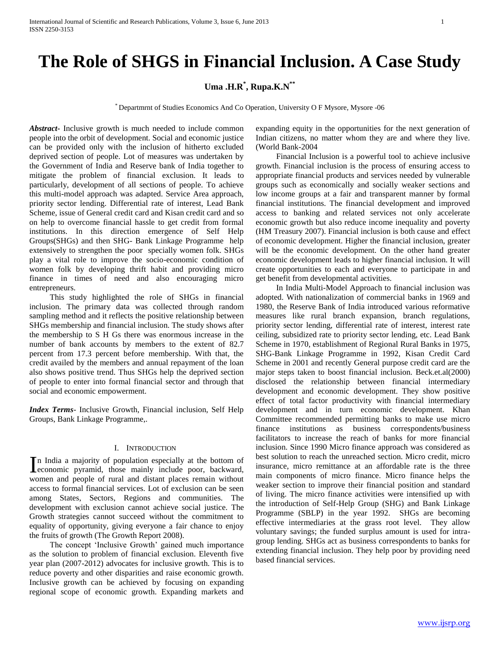# **The Role of SHGS in Financial Inclusion. A Case Study**

# **Uma .H.R\* , Rupa.K.N\*\***

\* Departmrnt of Studies Economics And Co Operation, University O F Mysore, Mysore -06

*Abstract***-** Inclusive growth is much needed to include common people into the orbit of development. Social and economic justice can be provided only with the inclusion of hitherto excluded deprived section of people. Lot of measures was undertaken by the Government of India and Reserve bank of India together to mitigate the problem of financial exclusion. It leads to particularly, development of all sections of people. To achieve this multi-model approach was adapted. Service Area approach, priority sector lending. Differential rate of interest, Lead Bank Scheme, issue of General credit card and Kisan credit card and so on help to overcome financial hassle to get credit from formal institutions. In this direction emergence of Self Help Groups(SHGs) and then SHG- Bank Linkage Programme help extensively to strengthen the poor specially women folk. SHGs play a vital role to improve the socio-economic condition of women folk by developing thrift habit and providing micro finance in times of need and also encouraging micro entrepreneurs.

 This study highlighted the role of SHGs in financial inclusion. The primary data was collected through random sampling method and it reflects the positive relationship between SHGs membership and financial inclusion. The study shows after the membership to S H Gs there was enormous increase in the number of bank accounts by members to the extent of 82.7 percent from 17.3 percent before membership. With that, the credit availed by the members and annual repayment of the loan also shows positive trend. Thus SHGs help the deprived section of people to enter into formal financial sector and through that social and economic empowerment.

*Index Terms*- Inclusive Growth, Financial inclusion, Self Help Groups, Bank Linkage Programme,.

## I. INTRODUCTION

n India a majority of population especially at the bottom of In India a majority of population especially at the bottom of economic pyramid, those mainly include poor, backward, women and people of rural and distant places remain without access to formal financial services. Lot of exclusion can be seen among States, Sectors, Regions and communities. The development with exclusion cannot achieve social justice. The Growth strategies cannot succeed without the commitment to equality of opportunity, giving everyone a fair chance to enjoy the fruits of growth (The Growth Report 2008).

 The concept 'Inclusive Growth' gained much importance as the solution to problem of financial exclusion. Eleventh five year plan (2007-2012) advocates for inclusive growth. This is to reduce poverty and other disparities and raise economic growth. Inclusive growth can be achieved by focusing on expanding regional scope of economic growth. Expanding markets and

expanding equity in the opportunities for the next generation of Indian citizens, no matter whom they are and where they live. (World Bank-2004

 Financial Inclusion is a powerful tool to achieve inclusive growth. Financial inclusion is the process of ensuring access to appropriate financial products and services needed by vulnerable groups such as economically and socially weaker sections and low income groups at a fair and transparent manner by formal financial institutions. The financial development and improved access to banking and related services not only accelerate economic growth but also reduce income inequality and poverty (HM Treasury 2007). Financial inclusion is both cause and effect of economic development. Higher the financial inclusion, greater will be the economic development. On the other hand greater economic development leads to higher financial inclusion. It will create opportunities to each and everyone to participate in and get benefit from developmental activities.

 In India Multi-Model Approach to financial inclusion was adopted. With nationalization of commercial banks in 1969 and 1980, the Reserve Bank of India introduced various reformative measures like rural branch expansion, branch regulations, priority sector lending, differential rate of interest, interest rate ceiling, subsidized rate to priority sector lending, etc. Lead Bank Scheme in 1970, establishment of Regional Rural Banks in 1975, SHG-Bank Linkage Programme in 1992, Kisan Credit Card Scheme in 2001 and recently General purpose credit card are the major steps taken to boost financial inclusion. Beck.et.al(2000) disclosed the relationship between financial intermediary development and economic development. They show positive effect of total factor productivity with financial intermediary development and in turn economic development. Khan Committee recommended permitting banks to make use micro finance institutions as business correspondents/business facilitators to increase the reach of banks for more financial inclusion. Since 1990 Micro finance approach was considered as best solution to reach the unreached section. Micro credit, micro insurance, micro remittance at an affordable rate is the three main components of micro finance. Micro finance helps the weaker section to improve their financial position and standard of living. The micro finance activities were intensified up with the introduction of Self-Help Group (SHG) and Bank Linkage Programme (SBLP) in the year 1992. SHGs are becoming effective intermediaries at the grass root level. They allow voluntary savings; the funded surplus amount is used for intragroup lending. SHGs act as business correspondents to banks for extending financial inclusion. They help poor by providing need based financial services.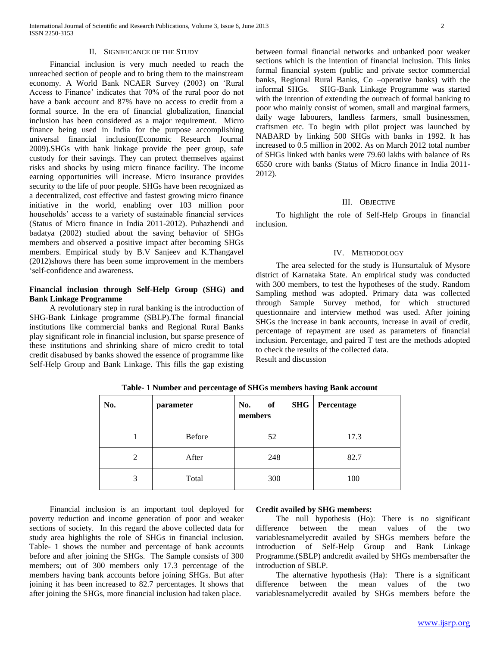#### II. SIGNIFICANCE OF THE STUDY

 Financial inclusion is very much needed to reach the unreached section of people and to bring them to the mainstream economy. A World Bank NCAER Survey (2003) on 'Rural Access to Finance' indicates that 70% of the rural poor do not have a bank account and 87% have no access to credit from a formal source. In the era of financial globalization, financial inclusion has been considered as a major requirement. Micro finance being used in India for the purpose accomplishing universal financial inclusion(Economic Research Journal 2009).SHGs with bank linkage provide the peer group, safe custody for their savings. They can protect themselves against risks and shocks by using micro finance facility. The income earning opportunities will increase. Micro insurance provides security to the life of poor people. SHGs have been recognized as a decentralized, cost effective and fastest growing micro finance initiative in the world, enabling over 103 million poor households' access to a variety of sustainable financial services (Status of Micro finance in India 2011-2012). Puhazhendi and badatya (2002) studied about the saving behavior of SHGs members and observed a positive impact after becoming SHGs members. Empirical study by B.V Sanjeev and K.Thangavel (2012)shows there has been some improvement in the members 'self-confidence and awareness.

# **Financial inclusion through Self-Help Group (SHG) and Bank Linkage Programme**

 A revolutionary step in rural banking is the introduction of SHG-Bank Linkage programme (SBLP).The formal financial institutions like commercial banks and Regional Rural Banks play significant role in financial inclusion, but sparse presence of these institutions and shrinking share of micro credit to total credit disabused by banks showed the essence of programme like Self-Help Group and Bank Linkage. This fills the gap existing

between formal financial networks and unbanked poor weaker sections which is the intention of financial inclusion. This links formal financial system (public and private sector commercial banks, Regional Rural Banks, Co –operative banks) with the informal SHGs. SHG-Bank Linkage Programme was started with the intention of extending the outreach of formal banking to poor who mainly consist of women, small and marginal farmers, daily wage labourers, landless farmers, small businessmen, craftsmen etc. To begin with pilot project was launched by NABARD by linking 500 SHGs with banks in 1992. It has increased to 0.5 million in 2002. As on March 2012 total number of SHGs linked with banks were 79.60 lakhs with balance of Rs 6550 crore with banks (Status of Micro finance in India 2011- 2012).

#### III. OBJECTIVE

 To highlight the role of Self-Help Groups in financial inclusion.

#### IV. METHODOLOGY

 The area selected for the study is Hunsurtaluk of Mysore district of Karnataka State. An empirical study was conducted with 300 members, to test the hypotheses of the study. Random Sampling method was adopted. Primary data was collected through Sample Survey method, for which structured questionnaire and interview method was used. After joining SHGs the increase in bank accounts, increase in avail of credit, percentage of repayment are used as parameters of financial inclusion. Percentage, and paired T test are the methods adopted to check the results of the collected data. Result and discussion

| No. | parameter     | <b>SHG</b><br>of<br>No.<br>members | Percentage |
|-----|---------------|------------------------------------|------------|
|     | <b>Before</b> | 52                                 | 17.3       |
| 2   | After         | 248                                | 82.7       |
| 3   | Total         | 300                                | 100        |

**Table- 1 Number and percentage of SHGs members having Bank account**

 Financial inclusion is an important tool deployed for poverty reduction and income generation of poor and weaker sections of society. In this regard the above collected data for study area highlights the role of SHGs in financial inclusion. Table- 1 shows the number and percentage of bank accounts before and after joining the SHGs. The Sample consists of 300 members; out of 300 members only 17.3 percentage of the members having bank accounts before joining SHGs. But after joining it has been increased to 82.7 percentages. It shows that after joining the SHGs, more financial inclusion had taken place.

## **Credit availed by SHG members:**

 The null hypothesis (Ho): There is no significant difference between the mean values of the two variablesnamelycredit availed by SHGs members before the introduction of Self-Help Group and Bank Linkage Programme.(SBLP) andcredit availed by SHGs membersafter the introduction of SBLP.

 The alternative hypothesis (Ha): There is a significant difference between the mean values of the two variablesnamelycredit availed by SHGs members before the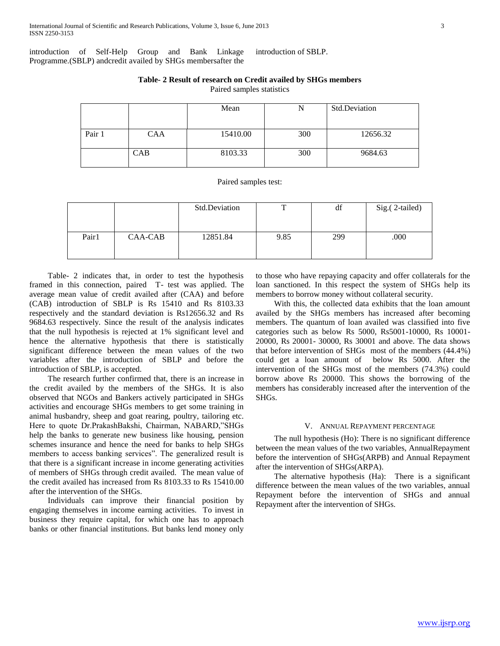introduction of Self-Help Group and Bank Linkage Programme.(SBLP) andcredit availed by SHGs membersafter the introduction of SBLP.

**Table- 2 Result of research on Credit availed by SHGs members** Paired samples statistics

|        |            | Mean     |     | Std.Deviation |  |
|--------|------------|----------|-----|---------------|--|
|        |            |          |     |               |  |
| Pair 1 | <b>CAA</b> | 15410.00 | 300 | 12656.32      |  |
|        |            |          |     |               |  |
|        | CAB        | 8103.33  | 300 | 9684.63       |  |
|        |            |          |     |               |  |

Paired samples test:

|       |         | Std.Deviation | m    | df  | Sig.(2-tailed) |
|-------|---------|---------------|------|-----|----------------|
| Pair1 | CAA-CAB | 12851.84      | 9.85 | 299 | .000           |

 Table- 2 indicates that, in order to test the hypothesis framed in this connection, paired T- test was applied. The average mean value of credit availed after (CAA) and before (CAB) introduction of SBLP is Rs 15410 and Rs 8103.33 respectively and the standard deviation is Rs12656.32 and Rs 9684.63 respectively. Since the result of the analysis indicates that the null hypothesis is rejected at 1% significant level and hence the alternative hypothesis that there is statistically significant difference between the mean values of the two variables after the introduction of SBLP and before the introduction of SBLP, is accepted.

 The research further confirmed that, there is an increase in the credit availed by the members of the SHGs. It is also observed that NGOs and Bankers actively participated in SHGs activities and encourage SHGs members to get some training in animal husbandry, sheep and goat rearing, poultry, tailoring etc. Here to quote Dr.PrakashBakshi, Chairman, NABARD,"SHGs help the banks to generate new business like housing, pension schemes insurance and hence the need for banks to help SHGs members to access banking services". The generalized result is that there is a significant increase in income generating activities of members of SHGs through credit availed. The mean value of the credit availed has increased from Rs 8103.33 to Rs 15410.00 after the intervention of the SHGs.

 Individuals can improve their financial position by engaging themselves in income earning activities. To invest in business they require capital, for which one has to approach banks or other financial institutions. But banks lend money only

to those who have repaying capacity and offer collaterals for the loan sanctioned. In this respect the system of SHGs help its members to borrow money without collateral security.

 With this, the collected data exhibits that the loan amount availed by the SHGs members has increased after becoming members. The quantum of loan availed was classified into five categories such as below Rs 5000, Rs5001-10000, Rs 10001- 20000, Rs 20001- 30000, Rs 30001 and above. The data shows that before intervention of SHGs most of the members (44.4%) could get a loan amount of below Rs 5000. After the intervention of the SHGs most of the members (74.3%) could borrow above Rs 20000. This shows the borrowing of the members has considerably increased after the intervention of the SHGs.

### V. ANNUAL REPAYMENT PERCENTAGE

 The null hypothesis (Ho): There is no significant difference between the mean values of the two variables, AnnualRepayment before the intervention of SHGs(ARPB) and Annual Repayment after the intervention of SHGs(ARPA).

 The alternative hypothesis (Ha): There is a significant difference between the mean values of the two variables, annual Repayment before the intervention of SHGs and annual Repayment after the intervention of SHGs.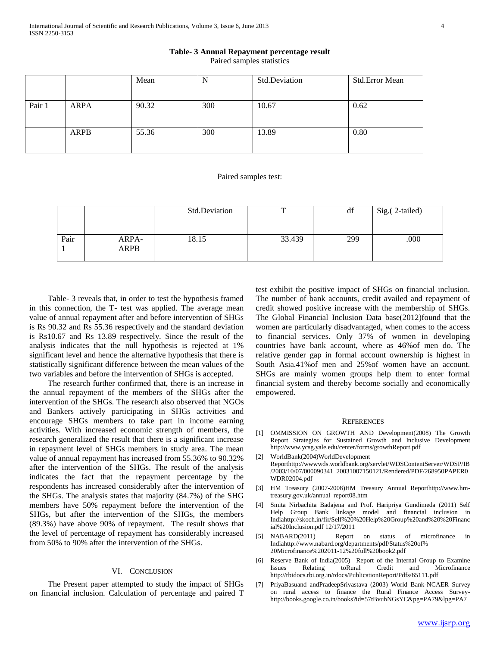#### **Table- 3 Annual Repayment percentage result**

Paired samples statistics

|        |             | Mean  | ΙN  | Std.Deviation | <b>Std.Error Mean</b> |
|--------|-------------|-------|-----|---------------|-----------------------|
|        |             |       |     |               |                       |
| Pair 1 | <b>ARPA</b> | 90.32 | 300 | 10.67         | 0.62                  |
|        | ARPB        | 55.36 | 300 | 13.89         | 0.80                  |

#### Paired samples test:

|      |                      | Std.Deviation | $\mathbf{r}$ | df  | Sig.(2-tailed) |
|------|----------------------|---------------|--------------|-----|----------------|
|      |                      |               |              |     |                |
| Pair | ARPA-<br><b>ARPB</b> | 18.15         | 33.439       | 299 | .000           |

 Table- 3 reveals that, in order to test the hypothesis framed in this connection, the T- test was applied. The average mean value of annual repayment after and before intervention of SHGs is Rs 90.32 and Rs 55.36 respectively and the standard deviation is Rs10.67 and Rs 13.89 respectively. Since the result of the analysis indicates that the null hypothesis is rejected at 1% significant level and hence the alternative hypothesis that there is statistically significant difference between the mean values of the two variables and before the intervention of SHGs is accepted.

 The research further confirmed that, there is an increase in the annual repayment of the members of the SHGs after the intervention of the SHGs. The research also observed that NGOs and Bankers actively participating in SHGs activities and encourage SHGs members to take part in income earning activities. With increased economic strength of members, the research generalized the result that there is a significant increase in repayment level of SHGs members in study area. The mean value of annual repayment has increased from 55.36% to 90.32% after the intervention of the SHGs. The result of the analysis indicates the fact that the repayment percentage by the respondents has increased considerably after the intervention of the SHGs. The analysis states that majority (84.7%) of the SHG members have 50% repayment before the intervention of the SHGs, but after the intervention of the SHGs, the members (89.3%) have above 90% of repayment. The result shows that the level of percentage of repayment has considerably increased from 50% to 90% after the intervention of the SHGs.

## VI. CONCLUSION

 The Present paper attempted to study the impact of SHGs on financial inclusion. Calculation of percentage and paired T test exhibit the positive impact of SHGs on financial inclusion. The number of bank accounts, credit availed and repayment of credit showed positive increase with the membership of SHGs. The Global Financial Inclusion Data base(2012)found that the women are particularly disadvantaged, when comes to the access to financial services. Only 37% of women in developing countries have bank account, where as 46%of men do. The relative gender gap in formal account ownership is highest in South Asia.41%of men and 25%of women have an account. SHGs are mainly women groups help them to enter formal financial system and thereby become socially and economically empowered.

#### **REFERENCES**

- [1] OMMISSION ON GROWTH AND Development(2008) The Growth Report Strategies for Sustained Growth and Inclusive Development http://www.ycsg.yale.edu/center/forms/growthReport.pdf
- [2] WorldBank(2004)WorldDevelopment Reporthttp://wwwwds.worldbank.org/servlet/WDSContentServer/WDSP/IB /2003/10/07/000090341\_20031007150121/Rendered/PDF/268950PAPER0 WDR02004.pdf
- [3] HM Treasury (2007-2008)HM Treasury Annual Reporthttp://www.hmtreasury.gov.uk/annual\_report08.htm
- [4] Smita Nirbachita Badajena and Prof. Haripriya Gundimeda (2011) Self Help Group Bank linkage model and financial inclusion in Indiahttp://skoch.in/fir/Self%20%20Help%20Group%20and%20%20Financ ial%20Inclusion.pdf 12/17/2011
- [5] NABARD(2011) Report on status of microfinance in Indiahttp://www.nabard.org/departments/pdf/Status%20of% 20Microfinance%202011-12%20full%20book2.pdf
- [6] Reserve Bank of India(2005) Report of the Internal Group to Examine Issues Relating toRural Credit and Microfinance http://rbidocs.rbi.org.in/rdocs/PublicationReport/Pdfs/65111.pdf
- [7] PriyaBasuand andPradeepSrivastava (2003) World Bank-NCAER Survey on rural access to finance the Rural Finance Access Surveyhttp://books.google.co.in/books?id=57tBvuhNGsYC&pg=PA79&lpg=PA7